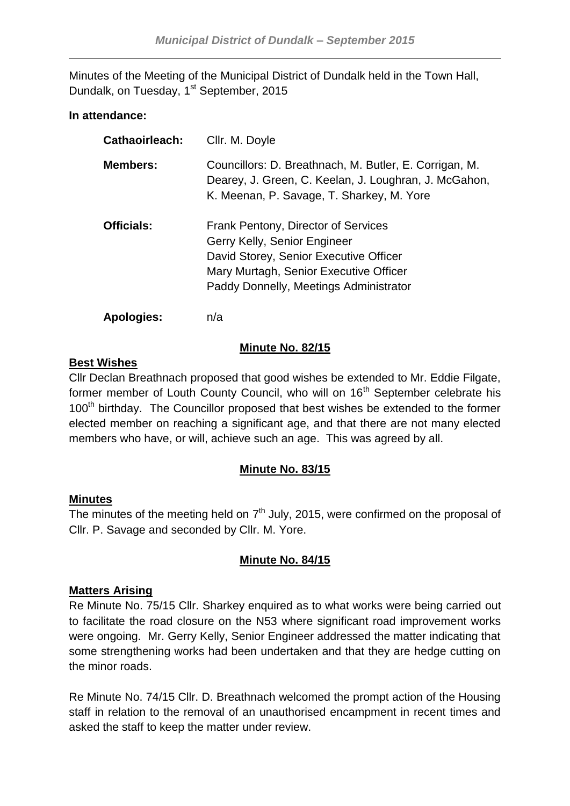Minutes of the Meeting of the Municipal District of Dundalk held in the Town Hall, Dundalk, on Tuesday, 1<sup>st</sup> September, 2015

## **In attendance:**

| <b>Cathaoirleach:</b> | Cllr. M. Doyle                                                                                                                                                                                    |
|-----------------------|---------------------------------------------------------------------------------------------------------------------------------------------------------------------------------------------------|
| <b>Members:</b>       | Councillors: D. Breathnach, M. Butler, E. Corrigan, M.<br>Dearey, J. Green, C. Keelan, J. Loughran, J. McGahon,<br>K. Meenan, P. Savage, T. Sharkey, M. Yore                                      |
| <b>Officials:</b>     | Frank Pentony, Director of Services<br>Gerry Kelly, Senior Engineer<br>David Storey, Senior Executive Officer<br>Mary Murtagh, Senior Executive Officer<br>Paddy Donnelly, Meetings Administrator |
| <b>Apologies:</b>     | n/a                                                                                                                                                                                               |

## **Minute No. 82/15**

## **Best Wishes**

Cllr Declan Breathnach proposed that good wishes be extended to Mr. Eddie Filgate, former member of Louth County Council, who will on 16<sup>th</sup> September celebrate his 100<sup>th</sup> birthday. The Councillor proposed that best wishes be extended to the former elected member on reaching a significant age, and that there are not many elected members who have, or will, achieve such an age. This was agreed by all.

# **Minute No. 83/15**

## **Minutes**

The minutes of the meeting held on  $7<sup>th</sup>$  July, 2015, were confirmed on the proposal of Cllr. P. Savage and seconded by Cllr. M. Yore.

# **Minute No. 84/15**

## **Matters Arising**

Re Minute No. 75/15 Cllr. Sharkey enquired as to what works were being carried out to facilitate the road closure on the N53 where significant road improvement works were ongoing. Mr. Gerry Kelly, Senior Engineer addressed the matter indicating that some strengthening works had been undertaken and that they are hedge cutting on the minor roads.

Re Minute No. 74/15 Cllr. D. Breathnach welcomed the prompt action of the Housing staff in relation to the removal of an unauthorised encampment in recent times and asked the staff to keep the matter under review.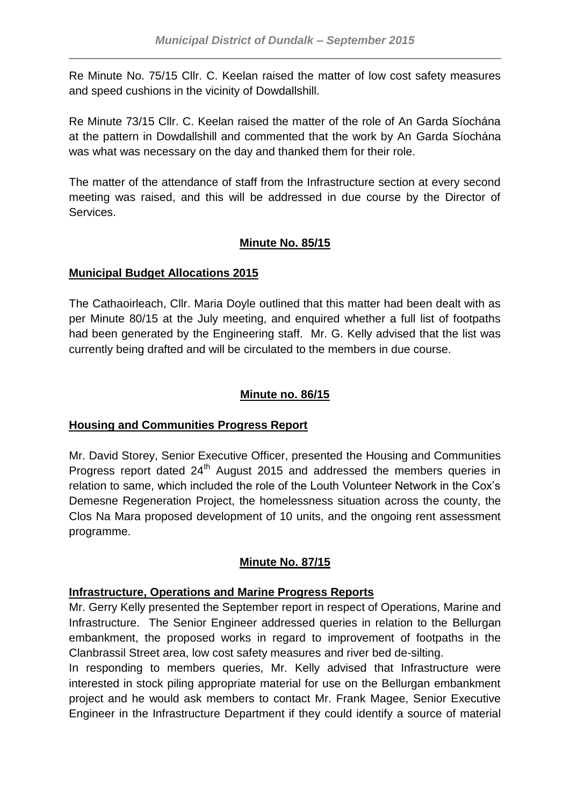Re Minute No. 75/15 Cllr. C. Keelan raised the matter of low cost safety measures and speed cushions in the vicinity of Dowdallshill.

Re Minute 73/15 Cllr. C. Keelan raised the matter of the role of An Garda Síochána at the pattern in Dowdallshill and commented that the work by An Garda Síochána was what was necessary on the day and thanked them for their role.

The matter of the attendance of staff from the Infrastructure section at every second meeting was raised, and this will be addressed in due course by the Director of Services.

# **Minute No. 85/15**

# **Municipal Budget Allocations 2015**

The Cathaoirleach, Cllr. Maria Doyle outlined that this matter had been dealt with as per Minute 80/15 at the July meeting, and enquired whether a full list of footpaths had been generated by the Engineering staff. Mr. G. Kelly advised that the list was currently being drafted and will be circulated to the members in due course.

# **Minute no. 86/15**

# **Housing and Communities Progress Report**

Mr. David Storey, Senior Executive Officer, presented the Housing and Communities Progress report dated 24<sup>th</sup> August 2015 and addressed the members queries in relation to same, which included the role of the Louth Volunteer Network in the Cox's Demesne Regeneration Project, the homelessness situation across the county, the Clos Na Mara proposed development of 10 units, and the ongoing rent assessment programme.

# **Minute No. 87/15**

# **Infrastructure, Operations and Marine Progress Reports**

Mr. Gerry Kelly presented the September report in respect of Operations, Marine and Infrastructure. The Senior Engineer addressed queries in relation to the Bellurgan embankment, the proposed works in regard to improvement of footpaths in the Clanbrassil Street area, low cost safety measures and river bed de-silting.

In responding to members queries, Mr. Kelly advised that Infrastructure were interested in stock piling appropriate material for use on the Bellurgan embankment project and he would ask members to contact Mr. Frank Magee, Senior Executive Engineer in the Infrastructure Department if they could identify a source of material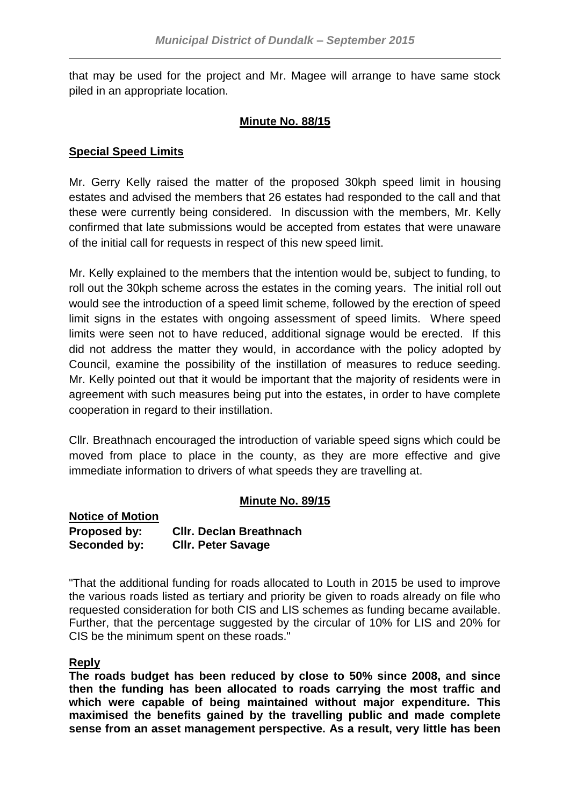that may be used for the project and Mr. Magee will arrange to have same stock piled in an appropriate location.

## **Minute No. 88/15**

## **Special Speed Limits**

Mr. Gerry Kelly raised the matter of the proposed 30kph speed limit in housing estates and advised the members that 26 estates had responded to the call and that these were currently being considered. In discussion with the members, Mr. Kelly confirmed that late submissions would be accepted from estates that were unaware of the initial call for requests in respect of this new speed limit.

Mr. Kelly explained to the members that the intention would be, subject to funding, to roll out the 30kph scheme across the estates in the coming years. The initial roll out would see the introduction of a speed limit scheme, followed by the erection of speed limit signs in the estates with ongoing assessment of speed limits. Where speed limits were seen not to have reduced, additional signage would be erected. If this did not address the matter they would, in accordance with the policy adopted by Council, examine the possibility of the instillation of measures to reduce seeding. Mr. Kelly pointed out that it would be important that the majority of residents were in agreement with such measures being put into the estates, in order to have complete cooperation in regard to their instillation.

Cllr. Breathnach encouraged the introduction of variable speed signs which could be moved from place to place in the county, as they are more effective and give immediate information to drivers of what speeds they are travelling at.

## **Minute No. 89/15**

**Notice of Motion Proposed by: Cllr. Declan Breathnach Seconded by: Cllr. Peter Savage**

"That the additional funding for roads allocated to Louth in 2015 be used to improve the various roads listed as tertiary and priority be given to roads already on file who requested consideration for both CIS and LIS schemes as funding became available. Further, that the percentage suggested by the circular of 10% for LIS and 20% for CIS be the minimum spent on these roads."

## **Reply**

**The roads budget has been reduced by close to 50% since 2008, and since then the funding has been allocated to roads carrying the most traffic and which were capable of being maintained without major expenditure. This maximised the benefits gained by the travelling public and made complete sense from an asset management perspective. As a result, very little has been**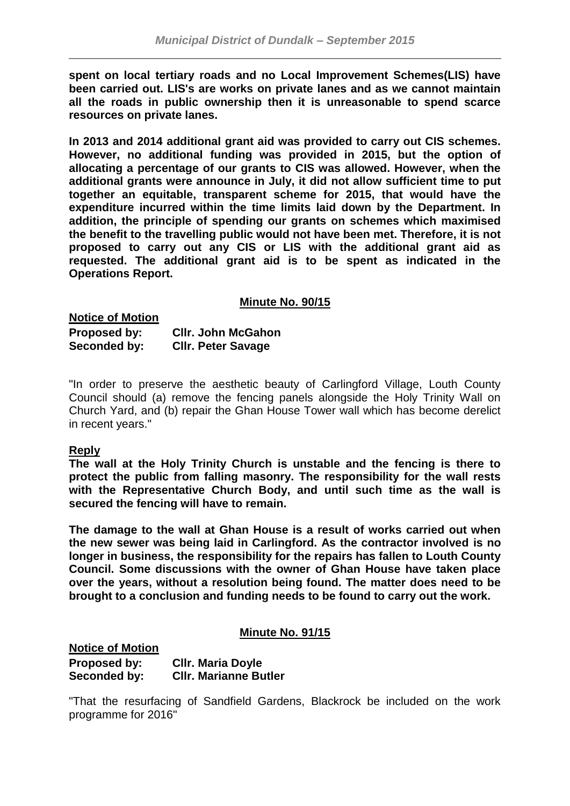**spent on local tertiary roads and no Local Improvement Schemes(LIS) have been carried out. LIS's are works on private lanes and as we cannot maintain all the roads in public ownership then it is unreasonable to spend scarce resources on private lanes.**

**In 2013 and 2014 additional grant aid was provided to carry out CIS schemes. However, no additional funding was provided in 2015, but the option of allocating a percentage of our grants to CIS was allowed. However, when the additional grants were announce in July, it did not allow sufficient time to put together an equitable, transparent scheme for 2015, that would have the expenditure incurred within the time limits laid down by the Department. In addition, the principle of spending our grants on schemes which maximised the benefit to the travelling public would not have been met. Therefore, it is not proposed to carry out any CIS or LIS with the additional grant aid as requested. The additional grant aid is to be spent as indicated in the Operations Report.**

#### **Minute No. 90/15**

**Notice of Motion Proposed by: Cllr. John McGahon Seconded by: Cllr. Peter Savage**

"In order to preserve the aesthetic beauty of Carlingford Village, Louth County Council should (a) remove the fencing panels alongside the Holy Trinity Wall on Church Yard, and (b) repair the Ghan House Tower wall which has become derelict in recent years."

## **Reply**

**The wall at the Holy Trinity Church is unstable and the fencing is there to protect the public from falling masonry. The responsibility for the wall rests with the Representative Church Body, and until such time as the wall is secured the fencing will have to remain.**

**The damage to the wall at Ghan House is a result of works carried out when the new sewer was being laid in Carlingford. As the contractor involved is no longer in business, the responsibility for the repairs has fallen to Louth County Council. Some discussions with the owner of Ghan House have taken place over the years, without a resolution being found. The matter does need to be brought to a conclusion and funding needs to be found to carry out the work.**

## **Minute No. 91/15**

**Notice of Motion Proposed by: Cllr. Maria Doyle Seconded by: Cllr. Marianne Butler**

"That the resurfacing of Sandfield Gardens, Blackrock be included on the work programme for 2016"